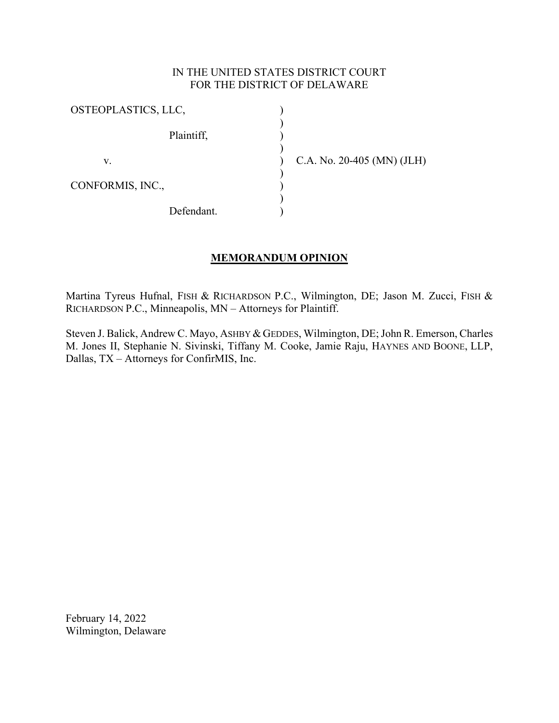## IN THE UNITED STATES DISTRICT COURT FOR THE DISTRICT OF DELAWARE

) ) ) ) ) ) ) ) )

| OSTEOPLASTICS, LLC, |            |
|---------------------|------------|
|                     | Plaintiff, |
| V.                  |            |
| CONFORMIS, INC.,    |            |
|                     | Defendant. |

C.A. No. 20-405 (MN) (JLH)

## **MEMORANDUM OPINION**

Martina Tyreus Hufnal, FISH & RICHARDSON P.C., Wilmington, DE; Jason M. Zucci, FISH & RICHARDSON P.C., Minneapolis, MN – Attorneys for Plaintiff.

Steven J. Balick, Andrew C. Mayo, ASHBY & GEDDES, Wilmington, DE; John R. Emerson, Charles M. Jones II, Stephanie N. Sivinski, Tiffany M. Cooke, Jamie Raju, HAYNES AND BOONE, LLP, Dallas, TX – Attorneys for ConfirMIS, Inc.

February 14, 2022 Wilmington, Delaware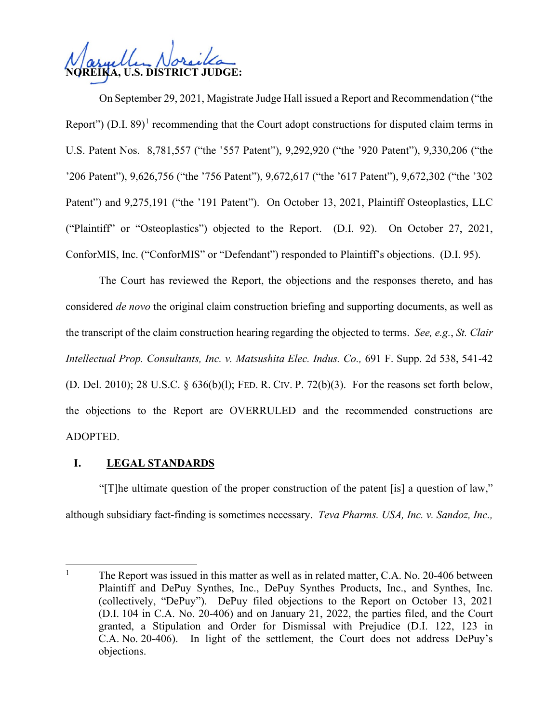**NOREIKA, U.S. DISTRICT JUDGE:**

On September 29, 2021, Magistrate Judge Hall issued a Report and Recommendation ("the Report") (D.I. 89)<sup>[1](#page-1-0)</sup> recommending that the Court adopt constructions for disputed claim terms in U.S. Patent Nos. 8,781,557 ("the '557 Patent"), 9,292,920 ("the '920 Patent"), 9,330,206 ("the '206 Patent"), 9,626,756 ("the '756 Patent"), 9,672,617 ("the '617 Patent"), 9,672,302 ("the '302 Patent") and 9,275,191 ("the '191 Patent"). On October 13, 2021, Plaintiff Osteoplastics, LLC ("Plaintiff" or "Osteoplastics") objected to the Report. (D.I. 92). On October 27, 2021, ConforMIS, Inc. ("ConforMIS" or "Defendant") responded to Plaintiff's objections. (D.I. 95).

The Court has reviewed the Report, the objections and the responses thereto, and has considered *de novo* the original claim construction briefing and supporting documents, as well as the transcript of the claim construction hearing regarding the objected to terms. *See, e.g.*, *St. Clair Intellectual Prop. Consultants, Inc. v. Matsushita Elec. Indus. Co.,* [691 F. Supp. 2d 538, 541-42](http://scholar.google.com/scholar?q=691%2Bf.%2Bsupp.%2B2d%2B538&btnG&hl=en&as_sdt=6)  (D. Del. 2010); [28 U.S.C. § 636\(b\)\(l\);](http://www.google.com/search?q=28%2Bu.s.c.%2B%2B636(b)(l)) FED. R. CIV. P. [72\(b\)\(3\)](http://www.google.com/search?q=FRCP%2B72(b)(3)). For the reasons set forth below, the objections to the Report are OVERRULED and the recommended constructions are ADOPTED.

## **I. LEGAL STANDARDS**

"[T]he ultimate question of the proper construction of the patent [is] a question of law," although subsidiary fact-finding is sometimes necessary. *Teva Pharms. USA, Inc. v. Sandoz, Inc.,* 

<span id="page-1-0"></span><sup>&</sup>lt;sup>1</sup> The Report was issued in this matter as well as in related matter, C.A. No. 20-406 between Plaintiff and DePuy Synthes, Inc., DePuy Synthes Products, Inc., and Synthes, Inc. (collectively, "DePuy"). DePuy filed objections to the Report on October 13, 2021 (D.I. 104 in C.A. No. 20-406) and on January 21, 2022, the parties filed, and the Court granted, a Stipulation and Order for Dismissal with Prejudice (D.I. 122, 123 in C.A. No. 20-406). In light of the settlement, the Court does not address DePuy's objections.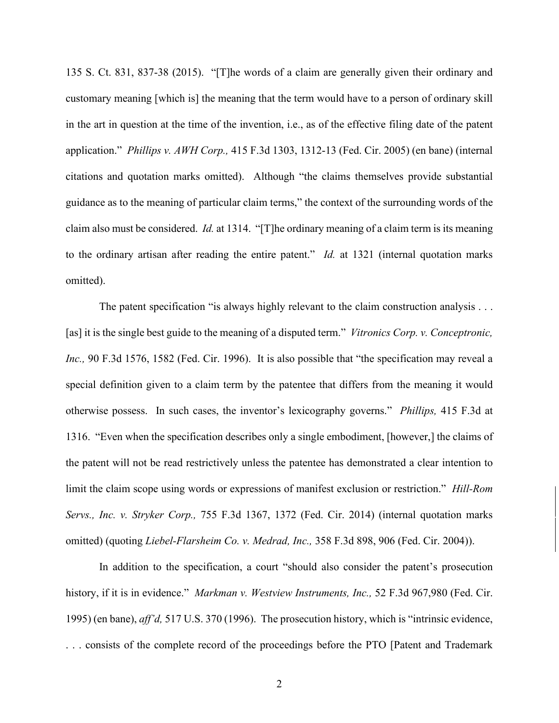135 [S. Ct. 831, 837-38 \(](http://scholar.google.com/scholar?q=135%2Bs.%2Bct.%2B831&btnG&hl=en&as_sdt=6)2015). "[T]he words of a claim are generally given their ordinary and customary meaning [which is] the meaning that the term would have to a person of ordinary skill in the art in question at the time of the invention, i.e., as of the effective filing date of the patent application." *Phillips v. AWH Corp.,* [415 F.3d 1303, 1312-13 \(](http://scholar.google.com/scholar?q=415%2Bf.3d%2B1303&btnG&hl=en&as_sdt=6)Fed. Cir. 2005) (en bane) (internal citations and quotation marks omitted). Although "the claims themselves provide substantial guidance as to the meaning of particular claim terms," the context of the surrounding words of the claim also must be considered. *Id.* at 1314. "[T]he ordinary meaning of a claim term is its meaning to the ordinary artisan after reading the entire patent." *Id.* at 1321 (internal quotation marks omitted).

The patent specification "is always highly relevant to the claim construction analysis . . . [as] it is the single best guide to the meaning of a disputed term." *Vitronics Corp. v. Conceptronic*, *Inc.,* [90 F.3d 1576, 1582 \(](http://scholar.google.com/scholar?q=90%2Bf.3d%2B1576&btnG&hl=en&as_sdt=6)Fed. Cir. 1996). It is also possible that "the specification may reveal a special definition given to a claim term by the patentee that differs from the meaning it would otherwise possess. In such cases, the inventor's lexicography governs." *Phillips,* [415 F.3d at](http://scholar.google.com/scholar?q=415%2Bf.3d%2B1303&btnG&hl=en&as_sdt=6) [1316.](http://scholar.google.com/scholar?q=415%2Bf.3d%2B1303&btnG&hl=en&as_sdt=6) "Even when the specification describes only a single embodiment, [however,] the claims of the patent will not be read restrictively unless the patentee has demonstrated a clear intention to limit the claim scope using words or expressions of manifest exclusion or restriction." *Hill-Rom Servs., Inc. v. Stryker Corp.,* [755 F.3d 1367, 1372](http://scholar.google.com/scholar?q=755%2Bf.3d%2B%2B1367&btnG&hl=en&as_sdt=6) (Fed. Cir. 2014) (internal quotation marks omitted) (quoting *Liebel-Flarsheim Co. v. Medrad, Inc.,* [358 F.3d 898, 906 \(](http://scholar.google.com/scholar?q=358%2Bf.3d%2B898&btnG&hl=en&as_sdt=6)Fed. Cir. 2004)).

In addition to the specification, a court "should also consider the patent's prosecution history, if it is in evidence." *Markman v. Westview Instruments, Inc.,* [52 F.3d 967,980 \(](http://scholar.google.com/scholar?q=52%2Bf.3d%2B967&btnG&hl=en&as_sdt=6)Fed. Cir. 1995) (en bane), *aff'd,* [517 U.S. 370 \(](http://scholar.google.com/scholar?q=517%2Bu.s.%2B370&btnG&hl=en&as_sdt=6)1996). The prosecution history, which is "intrinsic evidence, . . . consists of the complete record of the proceedings before the PTO [Patent and Trademark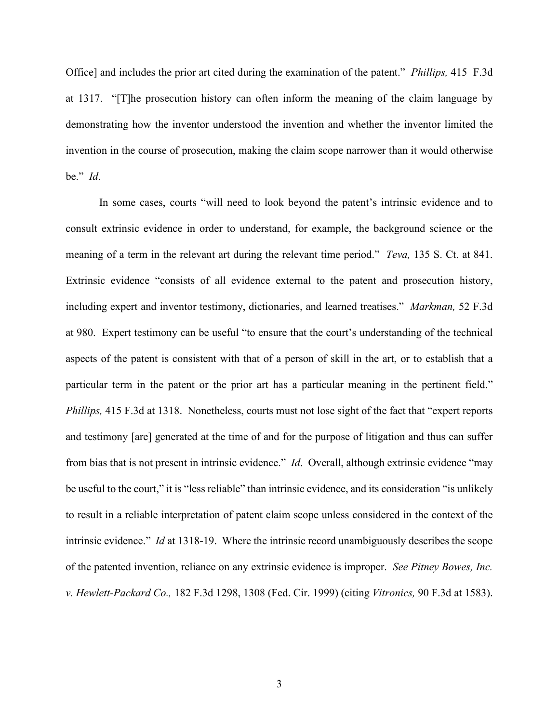Office] and includes the prior art cited during the examination of the patent." *Phillips,* [415 F.3d](http://scholar.google.com/scholar?q=415%2Bf.3d%2B1303&btnG&hl=en&as_sdt=6) [at 1317.](http://scholar.google.com/scholar?q=415%2Bf.3d%2B1303&btnG&hl=en&as_sdt=6) "[T]he prosecution history can often inform the meaning of the claim language by demonstrating how the inventor understood the invention and whether the inventor limited the invention in the course of prosecution, making the claim scope narrower than it would otherwise be." *Id*.

In some cases, courts "will need to look beyond the patent's intrinsic evidence and to consult extrinsic evidence in order to understand, for example, the background science or the meaning of a term in the relevant art during the relevant time period." *Teva,* [135 S. Ct. at 841.](http://scholar.google.com/scholar?q=135%2Bs.%2Bct.%2B831&btnG&hl=en&as_sdt=6) Extrinsic evidence "consists of all evidence external to the patent and prosecution history, including expert and inventor testimony, dictionaries, and learned treatises." *Markman,* [52 F.3d](http://scholar.google.com/scholar?q=52%2Bf.3d%2B967&btnG&hl=en&as_sdt=6) [at 980.](http://scholar.google.com/scholar?q=52%2Bf.3d%2B967&btnG&hl=en&as_sdt=6) Expert testimony can be useful "to ensure that the court's understanding of the technical aspects of the patent is consistent with that of a person of skill in the art, or to establish that a particular term in the patent or the prior art has a particular meaning in the pertinent field." *Phillips*, [415 F.3d at 1318.](http://scholar.google.com/scholar?q=415%2Bf.3d%2B1303&btnG&hl=en&as_sdt=6) Nonetheless, courts must not lose sight of the fact that "expert reports" and testimony [are] generated at the time of and for the purpose of litigation and thus can suffer from bias that is not present in intrinsic evidence." *Id*. Overall, although extrinsic evidence "may be useful to the court," it is "less reliable" than intrinsic evidence, and its consideration "is unlikely to result in a reliable interpretation of patent claim scope unless considered in the context of the intrinsic evidence." *Id* at 1318-19. Where the intrinsic record unambiguously describes the scope of the patented invention, reliance on any extrinsic evidence is improper. *See Pitney Bowes, Inc. v. Hewlett-Packard Co.,* [182 F.3d 1298, 1308 \(](http://scholar.google.com/scholar?q=182%2Bf.3d%2B1298&btnG&hl=en&as_sdt=6)Fed. Cir. 1999) (citing *Vitronics,* [90 F.3d at 1583\)](http://scholar.google.com/scholar?q=90%2Bf.3d%2B1576&btnG&hl=en&as_sdt=6).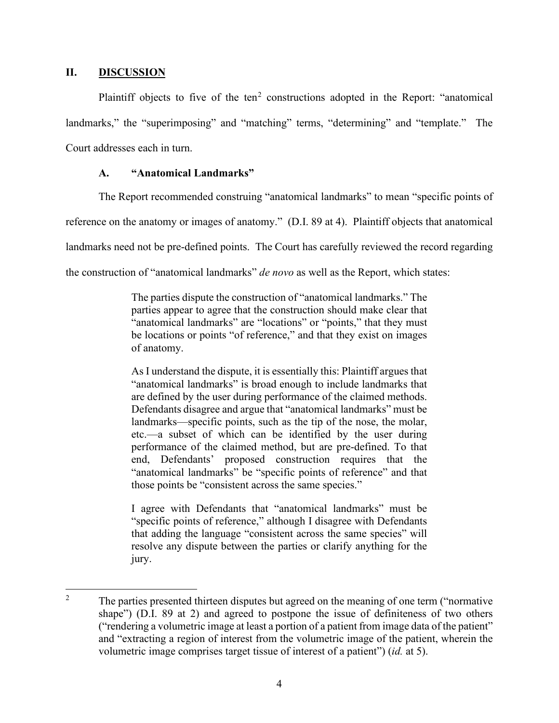#### **II. DISCUSSION**

Plaintiff objects to five of the ten<sup>[2](#page-4-0)</sup> constructions adopted in the Report: "anatomical landmarks," the "superimposing" and "matching" terms, "determining" and "template." The Court addresses each in turn.

## **A. "Anatomical Landmarks"**

The Report recommended construing "anatomical landmarks" to mean "specific points of reference on the anatomy or images of anatomy." (D.I. 89 at 4). Plaintiff objects that anatomical landmarks need not be pre-defined points. The Court has carefully reviewed the record regarding the construction of "anatomical landmarks" *de novo* as well as the Report, which states:

> The parties dispute the construction of "anatomical landmarks." The parties appear to agree that the construction should make clear that "anatomical landmarks" are "locations" or "points," that they must be locations or points "of reference," and that they exist on images of anatomy.

> As I understand the dispute, it is essentially this: Plaintiff argues that "anatomical landmarks" is broad enough to include landmarks that are defined by the user during performance of the claimed methods. Defendants disagree and argue that "anatomical landmarks" must be landmarks—specific points, such as the tip of the nose, the molar, etc.—a subset of which can be identified by the user during performance of the claimed method, but are pre-defined. To that end, Defendants' proposed construction requires that the "anatomical landmarks" be "specific points of reference" and that those points be "consistent across the same species."

> I agree with Defendants that "anatomical landmarks" must be "specific points of reference," although I disagree with Defendants that adding the language "consistent across the same species" will resolve any dispute between the parties or clarify anything for the jury.

<span id="page-4-0"></span><sup>&</sup>lt;sup>2</sup> The parties presented thirteen disputes but agreed on the meaning of one term ("normative") shape") (D.I. 89 at 2) and agreed to postpone the issue of definiteness of two others ("rendering a volumetric image at least a portion of a patient from image data of the patient" and "extracting a region of interest from the volumetric image of the patient, wherein the volumetric image comprises target tissue of interest of a patient") (*id.* at 5).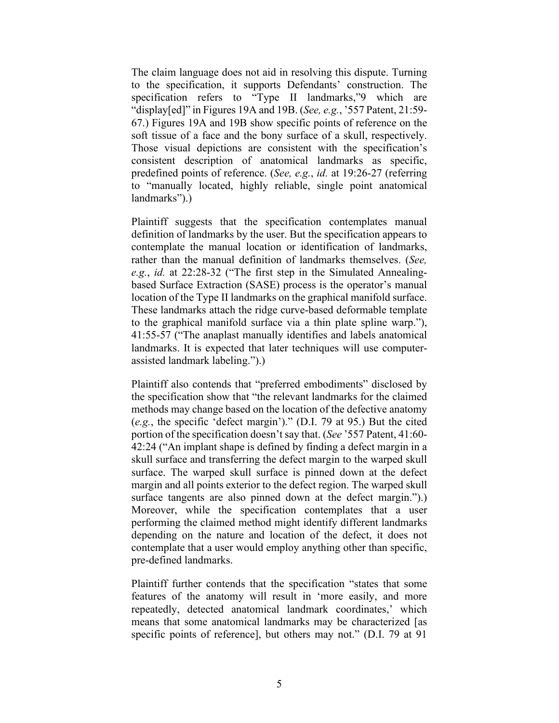The claim language does not aid in resolving this dispute. Turning to the specification, it supports Defendants' construction. The specification refers to "Type II landmarks,"9 which are "display[ed]" in Figures 19A and 19B. (*See, e.g.*, '557 Patent, 21:59- 67.) Figures 19A and 19B show specific points of reference on the soft tissue of a face and the bony surface of a skull, respectively. Those visual depictions are consistent with the specification's consistent description of anatomical landmarks as specific, predefined points of reference. (*See, e.g.*, *id.* at 19:26-27 (referring to "manually located, highly reliable, single point anatomical landmarks").)

Plaintiff suggests that the specification contemplates manual definition of landmarks by the user. But the specification appears to contemplate the manual location or identification of landmarks, rather than the manual definition of landmarks themselves. (*See, e.g.*, *id.* at 22:28-32 ("The first step in the Simulated Annealingbased Surface Extraction (SASE) process is the operator's manual location of the Type II landmarks on the graphical manifold surface. These landmarks attach the ridge curve-based deformable template to the graphical manifold surface via a thin plate spline warp."), 41:55-57 ("The anaplast manually identifies and labels anatomical landmarks. It is expected that later techniques will use computerassisted landmark labeling.").)

Plaintiff also contends that "preferred embodiments" disclosed by the specification show that "the relevant landmarks for the claimed methods may change based on the location of the defective anatomy (*e.g.*, the specific 'defect margin')." (D.I. 79 at 95.) But the cited portion of the specification doesn't say that. (*See* '557 Patent, 41:60- 42:24 ("An implant shape is defined by finding a defect margin in a skull surface and transferring the defect margin to the warped skull surface. The warped skull surface is pinned down at the defect margin and all points exterior to the defect region. The warped skull surface tangents are also pinned down at the defect margin.").) Moreover, while the specification contemplates that a user performing the claimed method might identify different landmarks depending on the nature and location of the defect, it does not contemplate that a user would employ anything other than specific, pre-defined landmarks.

Plaintiff further contends that the specification "states that some features of the anatomy will result in 'more easily, and more repeatedly, detected anatomical landmark coordinates,' which means that some anatomical landmarks may be characterized [as specific points of reference], but others may not." (D.I. 79 at 91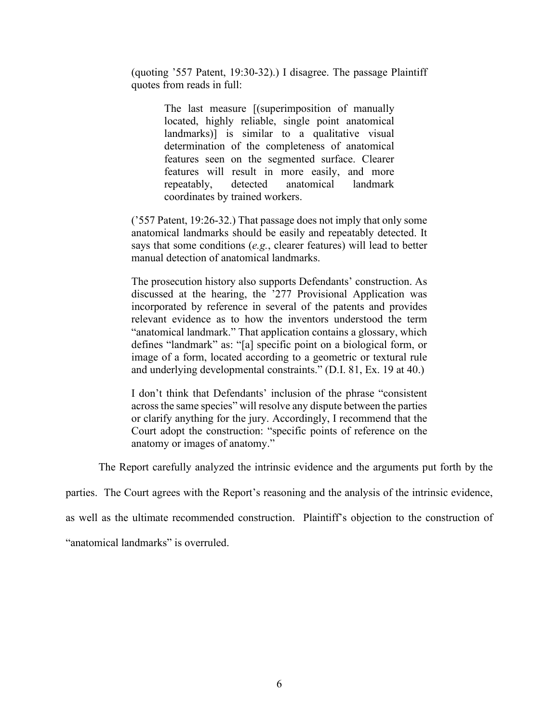(quoting '557 Patent, 19:30-32).) I disagree. The passage Plaintiff quotes from reads in full:

> The last measure [(superimposition of manually located, highly reliable, single point anatomical landmarks)] is similar to a qualitative visual determination of the completeness of anatomical features seen on the segmented surface. Clearer features will result in more easily, and more repeatably, detected anatomical landmark coordinates by trained workers.

('557 Patent, 19:26-32.) That passage does not imply that only some anatomical landmarks should be easily and repeatably detected. It says that some conditions (*e.g.*, clearer features) will lead to better manual detection of anatomical landmarks.

The prosecution history also supports Defendants' construction. As discussed at the hearing, the '277 Provisional Application was incorporated by reference in several of the patents and provides relevant evidence as to how the inventors understood the term "anatomical landmark." That application contains a glossary, which defines "landmark" as: "[a] specific point on a biological form, or image of a form, located according to a geometric or textural rule and underlying developmental constraints." (D.I. 81, Ex. 19 at 40.)

I don't think that Defendants' inclusion of the phrase "consistent across the same species" will resolve any dispute between the parties or clarify anything for the jury. Accordingly, I recommend that the Court adopt the construction: "specific points of reference on the anatomy or images of anatomy."

The Report carefully analyzed the intrinsic evidence and the arguments put forth by the

parties. The Court agrees with the Report's reasoning and the analysis of the intrinsic evidence,

as well as the ultimate recommended construction. Plaintiff's objection to the construction of

"anatomical landmarks" is overruled.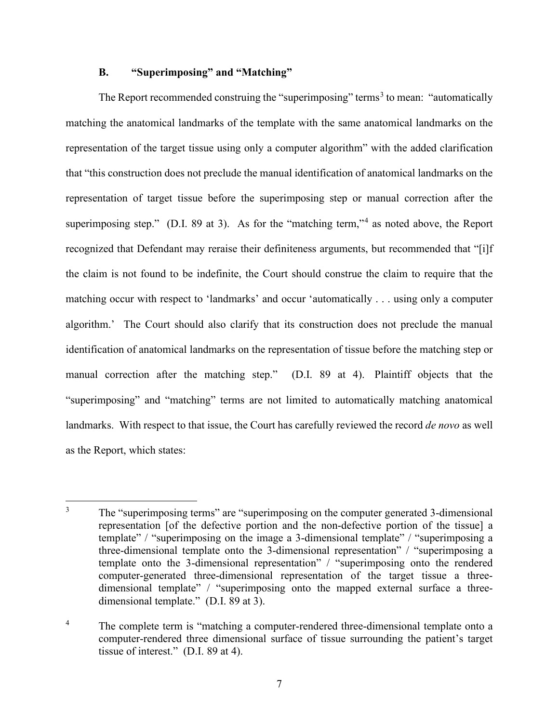### **B. "Superimposing" and "Matching"**

The Report recommended construing the "superimposing" terms<sup>[3](#page-7-0)</sup> to mean: "automatically matching the anatomical landmarks of the template with the same anatomical landmarks on the representation of the target tissue using only a computer algorithm" with the added clarification that "this construction does not preclude the manual identification of anatomical landmarks on the representation of target tissue before the superimposing step or manual correction after the superimposing step." (D.I. 89 at 3). As for the "matching term,"<sup>[4](#page-7-1)</sup> as noted above, the Report recognized that Defendant may reraise their definiteness arguments, but recommended that "[i]f the claim is not found to be indefinite, the Court should construe the claim to require that the matching occur with respect to 'landmarks' and occur 'automatically . . . using only a computer algorithm.' The Court should also clarify that its construction does not preclude the manual identification of anatomical landmarks on the representation of tissue before the matching step or manual correction after the matching step." (D.I. 89 at 4). Plaintiff objects that the "superimposing" and "matching" terms are not limited to automatically matching anatomical landmarks. With respect to that issue, the Court has carefully reviewed the record *de novo* as well as the Report, which states:

<span id="page-7-0"></span><sup>&</sup>lt;sup>3</sup> The "superimposing terms" are "superimposing on the computer generated 3-dimensional representation [of the defective portion and the non-defective portion of the tissue] a template" / "superimposing on the image a 3‐dimensional template" / "superimposing a three-dimensional template onto the 3-dimensional representation" / "superimposing a template onto the 3-dimensional representation" / "superimposing onto the rendered computer-generated three-dimensional representation of the target tissue a threedimensional template" / "superimposing onto the mapped external surface a threedimensional template." (D.I. 89 at 3).

<span id="page-7-1"></span><sup>&</sup>lt;sup>4</sup> The complete term is "matching a computer-rendered three-dimensional template onto a computer-rendered three dimensional surface of tissue surrounding the patient's target tissue of interest." (D.I. 89 at 4).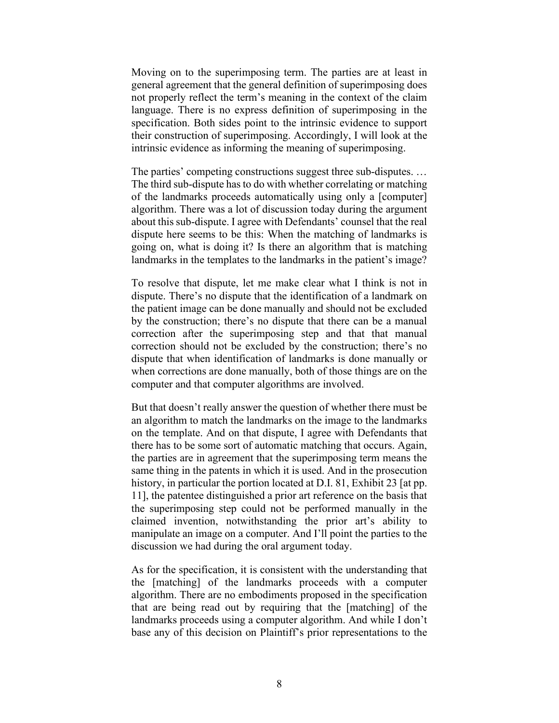Moving on to the superimposing term. The parties are at least in general agreement that the general definition of superimposing does not properly reflect the term's meaning in the context of the claim language. There is no express definition of superimposing in the specification. Both sides point to the intrinsic evidence to support their construction of superimposing. Accordingly, I will look at the intrinsic evidence as informing the meaning of superimposing.

The parties' competing constructions suggest three sub-disputes. … The third sub-dispute has to do with whether correlating or matching of the landmarks proceeds automatically using only a [computer] algorithm. There was a lot of discussion today during the argument about this sub-dispute. I agree with Defendants' counsel that the real dispute here seems to be this: When the matching of landmarks is going on, what is doing it? Is there an algorithm that is matching landmarks in the templates to the landmarks in the patient's image?

To resolve that dispute, let me make clear what I think is not in dispute. There's no dispute that the identification of a landmark on the patient image can be done manually and should not be excluded by the construction; there's no dispute that there can be a manual correction after the superimposing step and that that manual correction should not be excluded by the construction; there's no dispute that when identification of landmarks is done manually or when corrections are done manually, both of those things are on the computer and that computer algorithms are involved.

But that doesn't really answer the question of whether there must be an algorithm to match the landmarks on the image to the landmarks on the template. And on that dispute, I agree with Defendants that there has to be some sort of automatic matching that occurs. Again, the parties are in agreement that the superimposing term means the same thing in the patents in which it is used. And in the prosecution history, in particular the portion located at D.I. 81, Exhibit 23 [at pp. 11], the patentee distinguished a prior art reference on the basis that the superimposing step could not be performed manually in the claimed invention, notwithstanding the prior art's ability to manipulate an image on a computer. And I'll point the parties to the discussion we had during the oral argument today.

As for the specification, it is consistent with the understanding that the [matching] of the landmarks proceeds with a computer algorithm. There are no embodiments proposed in the specification that are being read out by requiring that the [matching] of the landmarks proceeds using a computer algorithm. And while I don't base any of this decision on Plaintiff's prior representations to the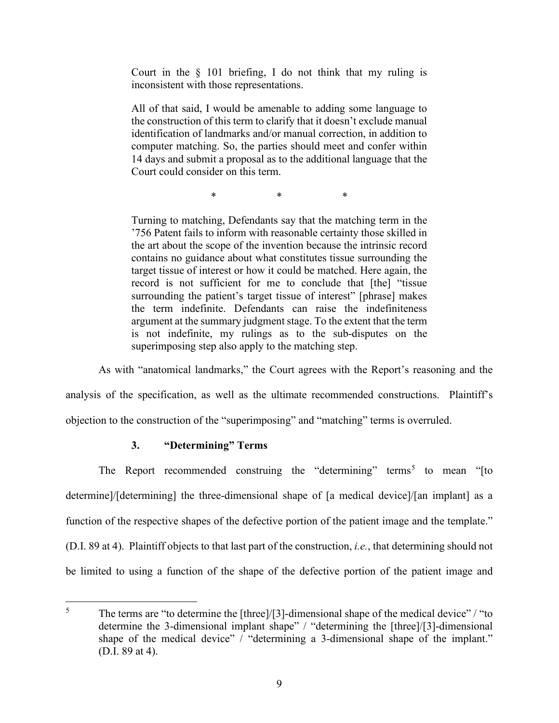Court in the  $\S$  101 briefing, I do not think that my ruling is inconsistent with those representations.

All of that said, I would be amenable to adding some language to the construction of this term to clarify that it doesn't exclude manual identification of landmarks and/or manual correction, in addition to computer matching. So, the parties should meet and confer within 14 days and submit a proposal as to the additional language that the Court could consider on this term.

\* \* \*

Turning to matching, Defendants say that the matching term in the '756 Patent fails to inform with reasonable certainty those skilled in the art about the scope of the invention because the intrinsic record contains no guidance about what constitutes tissue surrounding the target tissue of interest or how it could be matched. Here again, the record is not sufficient for me to conclude that [the] "tissue surrounding the patient's target tissue of interest" [phrase] makes the term indefinite. Defendants can raise the indefiniteness argument at the summary judgment stage. To the extent that the term is not indefinite, my rulings as to the sub-disputes on the superimposing step also apply to the matching step.

As with "anatomical landmarks," the Court agrees with the Report's reasoning and the

analysis of the specification, as well as the ultimate recommended constructions. Plaintiff's

objection to the construction of the "superimposing" and "matching" terms is overruled.

## **3. "Determining" Terms**

The Report recommended construing the "determining" terms<sup>[5](#page-9-0)</sup> to mean "[to determine]/[determining] the three-dimensional shape of [a medical device]/[an implant] as a function of the respective shapes of the defective portion of the patient image and the template." (D.I. 89 at 4). Plaintiff objects to that last part of the construction, *i.e.*, that determining should not be limited to using a function of the shape of the defective portion of the patient image and

<span id="page-9-0"></span> $5$  The terms are "to determine the [three]/[3]-dimensional shape of the medical device" / "to determine the 3-dimensional implant shape" / "determining the [three]/[3]-dimensional shape of the medical device" / "determining a 3-dimensional shape of the implant." (D.I. 89 at 4).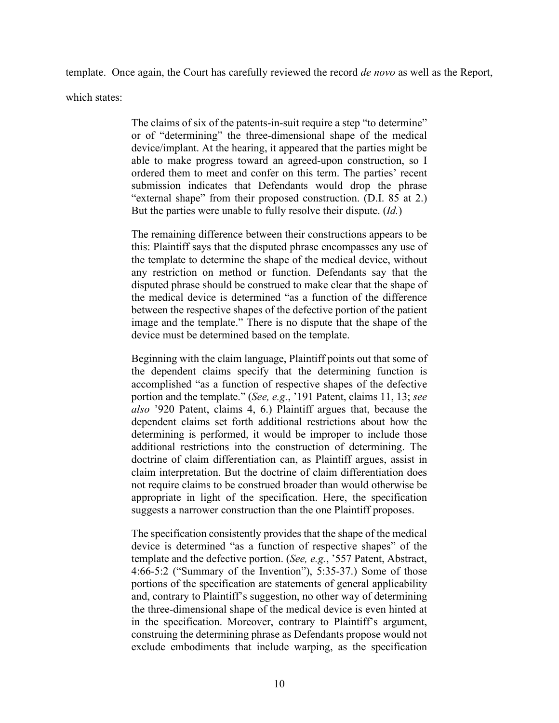template. Once again, the Court has carefully reviewed the record *de novo* as well as the Report,

which states:

The claims of six of the patents-in-suit require a step "to determine" or of "determining" the three-dimensional shape of the medical device/implant. At the hearing, it appeared that the parties might be able to make progress toward an agreed-upon construction, so I ordered them to meet and confer on this term. The parties' recent submission indicates that Defendants would drop the phrase "external shape" from their proposed construction. (D.I. 85 at 2.) But the parties were unable to fully resolve their dispute. (*Id.*)

The remaining difference between their constructions appears to be this: Plaintiff says that the disputed phrase encompasses any use of the template to determine the shape of the medical device, without any restriction on method or function. Defendants say that the disputed phrase should be construed to make clear that the shape of the medical device is determined "as a function of the difference between the respective shapes of the defective portion of the patient image and the template." There is no dispute that the shape of the device must be determined based on the template.

Beginning with the claim language, Plaintiff points out that some of the dependent claims specify that the determining function is accomplished "as a function of respective shapes of the defective portion and the template." (*See, e.g.*, '191 Patent, claims 11, 13; *see also* '920 Patent, claims 4, 6.) Plaintiff argues that, because the dependent claims set forth additional restrictions about how the determining is performed, it would be improper to include those additional restrictions into the construction of determining. The doctrine of claim differentiation can, as Plaintiff argues, assist in claim interpretation. But the doctrine of claim differentiation does not require claims to be construed broader than would otherwise be appropriate in light of the specification. Here, the specification suggests a narrower construction than the one Plaintiff proposes.

The specification consistently provides that the shape of the medical device is determined "as a function of respective shapes" of the template and the defective portion. (*See, e.g.*, '557 Patent, Abstract, 4:66-5:2 ("Summary of the Invention"), 5:35-37.) Some of those portions of the specification are statements of general applicability and, contrary to Plaintiff's suggestion, no other way of determining the three-dimensional shape of the medical device is even hinted at in the specification. Moreover, contrary to Plaintiff's argument, construing the determining phrase as Defendants propose would not exclude embodiments that include warping, as the specification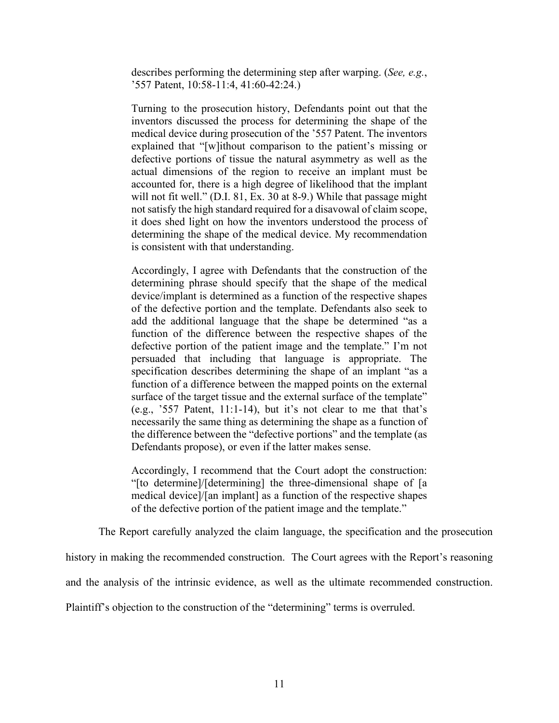describes performing the determining step after warping. (*See, e.g.*, '557 Patent, 10:58-11:4, 41:60-42:24.)

Turning to the prosecution history, Defendants point out that the inventors discussed the process for determining the shape of the medical device during prosecution of the '557 Patent. The inventors explained that "[w]ithout comparison to the patient's missing or defective portions of tissue the natural asymmetry as well as the actual dimensions of the region to receive an implant must be accounted for, there is a high degree of likelihood that the implant will not fit well." (D.I. 81, Ex. 30 at 8-9.) While that passage might not satisfy the high standard required for a disavowal of claim scope, it does shed light on how the inventors understood the process of determining the shape of the medical device. My recommendation is consistent with that understanding.

Accordingly, I agree with Defendants that the construction of the determining phrase should specify that the shape of the medical device/implant is determined as a function of the respective shapes of the defective portion and the template. Defendants also seek to add the additional language that the shape be determined "as a function of the difference between the respective shapes of the defective portion of the patient image and the template." I'm not persuaded that including that language is appropriate. The specification describes determining the shape of an implant "as a function of a difference between the mapped points on the external surface of the target tissue and the external surface of the template" (e.g., '557 Patent, 11:1-14), but it's not clear to me that that's necessarily the same thing as determining the shape as a function of the difference between the "defective portions" and the template (as Defendants propose), or even if the latter makes sense.

Accordingly, I recommend that the Court adopt the construction: "[to determine]/[determining] the three-dimensional shape of [a medical device]/[an implant] as a function of the respective shapes of the defective portion of the patient image and the template."

The Report carefully analyzed the claim language, the specification and the prosecution

history in making the recommended construction. The Court agrees with the Report's reasoning

and the analysis of the intrinsic evidence, as well as the ultimate recommended construction.

Plaintiff's objection to the construction of the "determining" terms is overruled.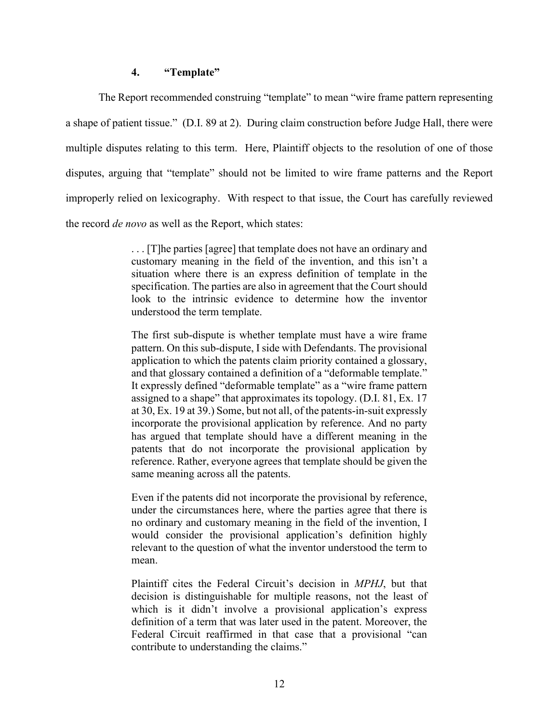#### **4. "Template"**

The Report recommended construing "template" to mean "wire frame pattern representing a shape of patient tissue." (D.I. 89 at 2). During claim construction before Judge Hall, there were multiple disputes relating to this term. Here, Plaintiff objects to the resolution of one of those disputes, arguing that "template" should not be limited to wire frame patterns and the Report improperly relied on lexicography. With respect to that issue, the Court has carefully reviewed the record *de novo* as well as the Report, which states:

> . . . [T]he parties [agree] that template does not have an ordinary and customary meaning in the field of the invention, and this isn't a situation where there is an express definition of template in the specification. The parties are also in agreement that the Court should look to the intrinsic evidence to determine how the inventor understood the term template.

> The first sub-dispute is whether template must have a wire frame pattern. On this sub-dispute, I side with Defendants. The provisional application to which the patents claim priority contained a glossary, and that glossary contained a definition of a "deformable template." It expressly defined "deformable template" as a "wire frame pattern assigned to a shape" that approximates its topology. (D.I. 81, Ex. 17 at 30, Ex. 19 at 39.) Some, but not all, of the patents-in-suit expressly incorporate the provisional application by reference. And no party has argued that template should have a different meaning in the patents that do not incorporate the provisional application by reference. Rather, everyone agrees that template should be given the same meaning across all the patents.

> Even if the patents did not incorporate the provisional by reference, under the circumstances here, where the parties agree that there is no ordinary and customary meaning in the field of the invention, I would consider the provisional application's definition highly relevant to the question of what the inventor understood the term to mean.

> Plaintiff cites the Federal Circuit's decision in *MPHJ*, but that decision is distinguishable for multiple reasons, not the least of which is it didn't involve a provisional application's express definition of a term that was later used in the patent. Moreover, the Federal Circuit reaffirmed in that case that a provisional "can contribute to understanding the claims."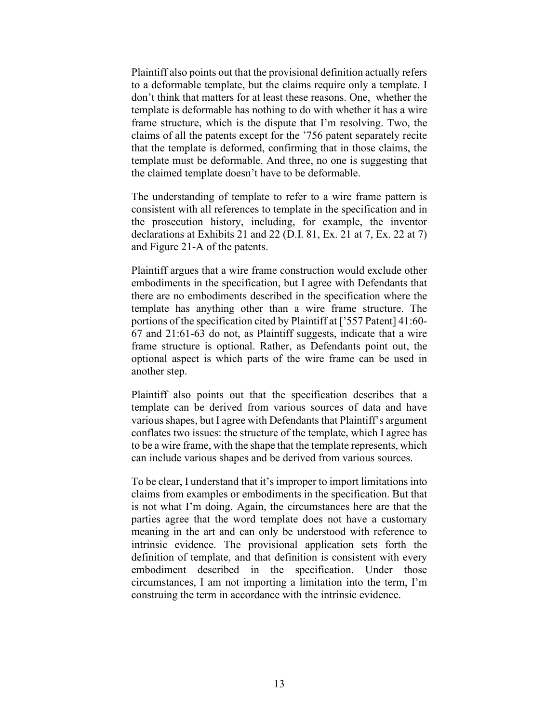Plaintiff also points out that the provisional definition actually refers to a deformable template, but the claims require only a template. I don't think that matters for at least these reasons. One, whether the template is deformable has nothing to do with whether it has a wire frame structure, which is the dispute that I'm resolving. Two, the claims of all the patents except for the '756 patent separately recite that the template is deformed, confirming that in those claims, the template must be deformable. And three, no one is suggesting that the claimed template doesn't have to be deformable.

The understanding of template to refer to a wire frame pattern is consistent with all references to template in the specification and in the prosecution history, including, for example, the inventor declarations at Exhibits 21 and 22 (D.I. 81, Ex. 21 at 7, Ex. 22 at 7) and Figure 21-A of the patents.

Plaintiff argues that a wire frame construction would exclude other embodiments in the specification, but I agree with Defendants that there are no embodiments described in the specification where the template has anything other than a wire frame structure. The portions of the specification cited by Plaintiff at ['557 Patent] 41:60- 67 and 21:61-63 do not, as Plaintiff suggests, indicate that a wire frame structure is optional. Rather, as Defendants point out, the optional aspect is which parts of the wire frame can be used in another step.

Plaintiff also points out that the specification describes that a template can be derived from various sources of data and have various shapes, but I agree with Defendants that Plaintiff's argument conflates two issues: the structure of the template, which I agree has to be a wire frame, with the shape that the template represents, which can include various shapes and be derived from various sources.

To be clear, I understand that it's improper to import limitations into claims from examples or embodiments in the specification. But that is not what I'm doing. Again, the circumstances here are that the parties agree that the word template does not have a customary meaning in the art and can only be understood with reference to intrinsic evidence. The provisional application sets forth the definition of template, and that definition is consistent with every embodiment described in the specification. Under those circumstances, I am not importing a limitation into the term, I'm construing the term in accordance with the intrinsic evidence.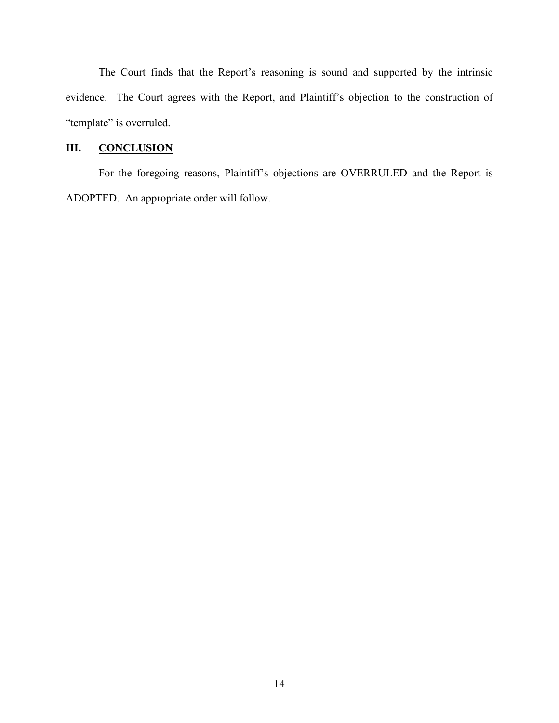The Court finds that the Report's reasoning is sound and supported by the intrinsic evidence. The Court agrees with the Report, and Plaintiff's objection to the construction of "template" is overruled.

# **III. CONCLUSION**

For the foregoing reasons, Plaintiff's objections are OVERRULED and the Report is ADOPTED. An appropriate order will follow.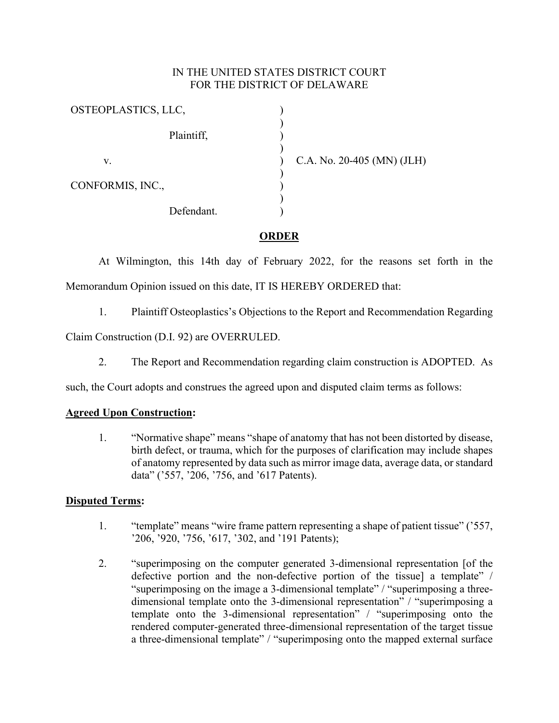## IN THE UNITED STATES DISTRICT COURT FOR THE DISTRICT OF DELAWARE

| OSTEOPLASTICS, LLC, |                              |
|---------------------|------------------------------|
| Plaintiff,          |                              |
| v.                  | C.A. No. $20-405$ (MN) (JLH) |
| CONFORMIS, INC.,    |                              |
| Defendant.          |                              |

## **ORDER**

At Wilmington, this 14th day of February 2022, for the reasons set forth in the Memorandum Opinion issued on this date, IT IS HEREBY ORDERED that:

1. Plaintiff Osteoplastics's Objections to the Report and Recommendation Regarding

Claim Construction (D.I. 92) are OVERRULED.

2. The Report and Recommendation regarding claim construction is ADOPTED. As

such, the Court adopts and construes the agreed upon and disputed claim terms as follows:

## **Agreed Upon Construction:**

1. "Normative shape" means "shape of anatomy that has not been distorted by disease, birth defect, or trauma, which for the purposes of clarification may include shapes of anatomy represented by data such as mirror image data, average data, or standard data" ('557, '206, '756, and '617 Patents).

## **Disputed Terms:**

- 1. "template" means "wire frame pattern representing a shape of patient tissue" ('557, '206, '920, '756, '617, '302, and '191 Patents);
- 2. "superimposing on the computer generated 3-dimensional representation [of the defective portion and the non-defective portion of the tissue] a template" / "superimposing on the image a 3‐dimensional template" / "superimposing a threedimensional template onto the 3-dimensional representation" / "superimposing a template onto the 3-dimensional representation" / "superimposing onto the rendered computer‐generated three-dimensional representation of the target tissue a three-dimensional template" / "superimposing onto the mapped external surface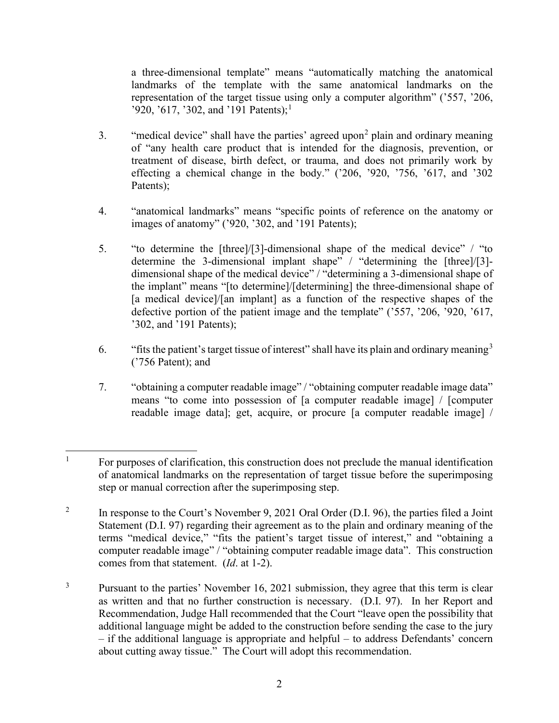a three-dimensional template" means "automatically matching the anatomical landmarks of the template with the same anatomical landmarks on the representation of the target tissue using only a computer algorithm" ('557, '206, '920, '6[1](#page-16-0)7, '302, and '191 Patents);<sup>1</sup>

- 3. "medical device" shall have the parties' agreed upon<sup>[2](#page-16-1)</sup> plain and ordinary meaning of "any health care product that is intended for the diagnosis, prevention, or treatment of disease, birth defect, or trauma, and does not primarily work by effecting a chemical change in the body." ('206, '920, '756, '617, and '302 Patents);
- 4. "anatomical landmarks" means "specific points of reference on the anatomy or images of anatomy" ('920, '302, and '191 Patents);
- 5. "to determine the [three]/[3]-dimensional shape of the medical device" / "to determine the 3-dimensional implant shape" / "determining the [three]/[3] dimensional shape of the medical device" / "determining a 3-dimensional shape of the implant" means "[to determine]/[determining] the three-dimensional shape of [a medical device]/[an implant] as a function of the respective shapes of the defective portion of the patient image and the template" ('557, '206, '920, '617, '302, and '191 Patents);
- 6. "fits the patient's target tissue of interest" shall have its plain and ordinary meaning  $3$ ('756 Patent); and
- 7. "obtaining a computer readable image" / "obtaining computer readable image data" means "to come into possession of [a computer readable image] / [computer readable image data]; get, acquire, or procure [a computer readable image] /

<span id="page-16-0"></span><sup>&</sup>lt;sup>1</sup> For purposes of clarification, this construction does not preclude the manual identification of anatomical landmarks on the representation of target tissue before the superimposing step or manual correction after the superimposing step.

<span id="page-16-1"></span><sup>&</sup>lt;sup>2</sup> In response to the Court's November 9, 2021 Oral Order (D.I. 96), the parties filed a Joint Statement (D.I. 97) regarding their agreement as to the plain and ordinary meaning of the terms "medical device," "fits the patient's target tissue of interest," and "obtaining a computer readable image" / "obtaining computer readable image data". This construction comes from that statement. (*Id*. at 1-2).

<span id="page-16-2"></span><sup>&</sup>lt;sup>3</sup> Pursuant to the parties' November 16, 2021 submission, they agree that this term is clear as written and that no further construction is necessary. (D.I. 97). In her Report and Recommendation, Judge Hall recommended that the Court "leave open the possibility that additional language might be added to the construction before sending the case to the jury – if the additional language is appropriate and helpful – to address Defendants' concern about cutting away tissue." The Court will adopt this recommendation.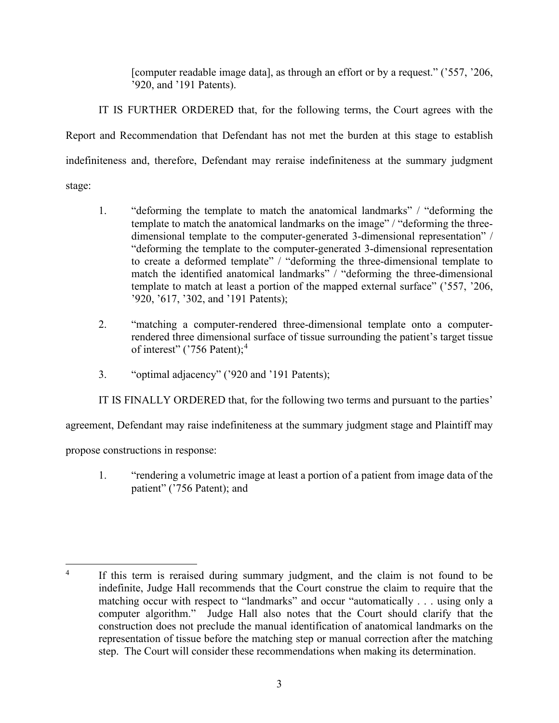[computer readable image data], as through an effort or by a request." ('557, '206, '920, and '191 Patents).

IT IS FURTHER ORDERED that, for the following terms, the Court agrees with the Report and Recommendation that Defendant has not met the burden at this stage to establish indefiniteness and, therefore, Defendant may reraise indefiniteness at the summary judgment stage:

- 1. "deforming the template to match the anatomical landmarks" / "deforming the template to match the anatomical landmarks on the image" / "deforming the threedimensional template to the computer‐generated 3‐dimensional representation" / "deforming the template to the computer‐generated 3‐dimensional representation to create a deformed template" / "deforming the three-dimensional template to match the identified anatomical landmarks" / "deforming the three-dimensional template to match at least a portion of the mapped external surface" ('557, '206, '920, '617, '302, and '191 Patents);
- 2. "matching a computer-rendered three-dimensional template onto a computerrendered three dimensional surface of tissue surrounding the patient's target tissue of interest" ('756 Patent);<sup>[4](#page-17-0)</sup>
- 3. "optimal adjacency" ('920 and '191 Patents);

IT IS FINALLY ORDERED that, for the following two terms and pursuant to the parties'

agreement, Defendant may raise indefiniteness at the summary judgment stage and Plaintiff may

propose constructions in response:

1. "rendering a volumetric image at least a portion of a patient from image data of the patient" ('756 Patent); and

<span id="page-17-0"></span><sup>&</sup>lt;sup>4</sup> If this term is reraised during summary judgment, and the claim is not found to be indefinite, Judge Hall recommends that the Court construe the claim to require that the matching occur with respect to "landmarks" and occur "automatically . . . using only a computer algorithm." Judge Hall also notes that the Court should clarify that the construction does not preclude the manual identification of anatomical landmarks on the representation of tissue before the matching step or manual correction after the matching step. The Court will consider these recommendations when making its determination.